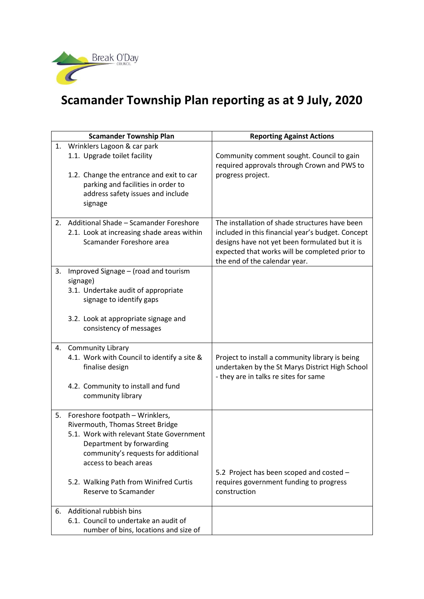

## **Scamander Township Plan reporting as at 9 July, 2020**

| <b>Scamander Township Plan</b> |                                                                                                                                                                                                                                                                               | <b>Reporting Against Actions</b>                                                                                                                                                                                                         |
|--------------------------------|-------------------------------------------------------------------------------------------------------------------------------------------------------------------------------------------------------------------------------------------------------------------------------|------------------------------------------------------------------------------------------------------------------------------------------------------------------------------------------------------------------------------------------|
| 1.                             | Wrinklers Lagoon & car park<br>1.1. Upgrade toilet facility<br>1.2. Change the entrance and exit to car<br>parking and facilities in order to<br>address safety issues and include<br>signage                                                                                 | Community comment sought. Council to gain<br>required approvals through Crown and PWS to<br>progress project.                                                                                                                            |
| 2.                             | Additional Shade - Scamander Foreshore<br>2.1. Look at increasing shade areas within<br>Scamander Foreshore area                                                                                                                                                              | The installation of shade structures have been<br>included in this financial year's budget. Concept<br>designs have not yet been formulated but it is<br>expected that works will be completed prior to<br>the end of the calendar year. |
| 3.                             | Improved Signage - (road and tourism<br>signage)<br>3.1. Undertake audit of appropriate<br>signage to identify gaps<br>3.2. Look at appropriate signage and<br>consistency of messages                                                                                        |                                                                                                                                                                                                                                          |
| 4.                             | <b>Community Library</b><br>4.1. Work with Council to identify a site &<br>finalise design<br>4.2. Community to install and fund<br>community library                                                                                                                         | Project to install a community library is being<br>undertaken by the St Marys District High School<br>- they are in talks re sites for same                                                                                              |
| 5.                             | Foreshore footpath - Wrinklers,<br>Rivermouth, Thomas Street Bridge<br>5.1. Work with relevant State Government<br>Department by forwarding<br>community's requests for additional<br>access to beach areas<br>5.2. Walking Path from Winifred Curtis<br>Reserve to Scamander | 5.2 Project has been scoped and costed -<br>requires government funding to progress<br>construction                                                                                                                                      |
| 6.                             | Additional rubbish bins<br>6.1. Council to undertake an audit of<br>number of bins, locations and size of                                                                                                                                                                     |                                                                                                                                                                                                                                          |